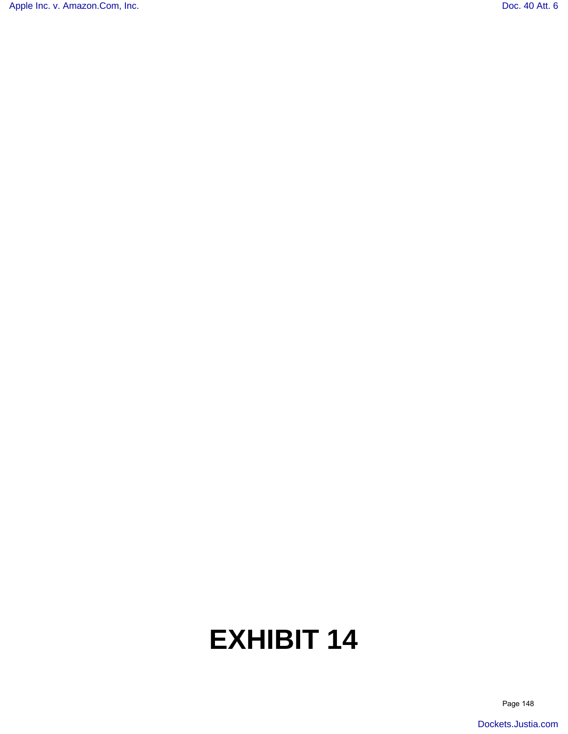[Apple Inc. v. Amazon.Com, Inc.](http://dockets.justia.com/docket/california/candce/4:2011cv01327/238522/) **[Doc. 40 Att. 6](http://docs.justia.com/cases/federal/district-courts/california/candce/4:2011cv01327/238522/40/6.html)** 

# **EXHIBIT 14**

Page 148

[Dockets.Justia.com](http://dockets.justia.com/)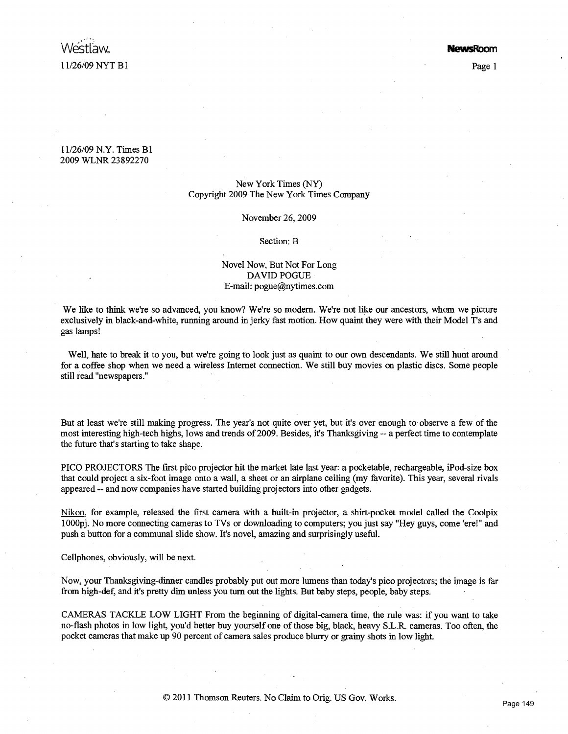11/26/09 NYT B1 Page 1

#### **NewsRoom**

#### 11/26/09 N.Y. Times B1 2009 WLNR 23892270

#### New York Times (NY) Copyright 2009 The New York Times Company

November 26, 2009

#### Section: B

#### Novel Now, But Not For Long DAVID POGUE E-mail: pogue@nytimes.com

We like to think we're so advanced, you know? We're so modern. We're not like our ancestors, whom we picture exclusively in black-and-white, running around in jerky fast motion. How quaint they were with their Model T's and gas lamps!

Well, hate to break it to you, but we're going to look just as quaint to our own descendants. We still hunt around for a coffee shop when we need a wireless Internet connection. We still buy movies on plastic discs. Some people still read "newspapers."

But at least we're still making progress. The year's not quite over yet, but it's over enough to observe a few of the most interesting high-tech highs, lows and trends of 2009. Besides, it's Thanksgiving -- a perfect time to contemplate the future that's starting to take shape.

PICO PROJECTORS The first pico projector hit the market late last year: a pocketable, rechargeable, iPod-size box that could project a six-foot image onto a wall, a sheet or an airplane ceiling (my favorite). This year, several rivals appeared -- and now companies have started building projectors into other gadgets.

Nikon, for example, released the first camera with a built-in projector, a shirt-pocket model called the Coolpix 1000pj. No more connecting cameras to TVs or downloading to computers; you just say "Hey guys, come 'ere!" and push a button for a communal slide show. It's novel, amazing and surprisingly useful.

Cellphones, obviously, will be next.

Now, your Thanksgiving-dinner candles probably put out more lumens than today's pico projectors; the image is far from high-def, and it's pretty dim unless you turn out the lights. But baby steps, people, baby steps.

CAMERAS TACKLE LOW LIGHT From the beginning of digital-camera time, the rule was: if you want to take no-flash photos in low light, you'd better buy yourself one of those big, black, heavy S.L.R. cameras. Too often, the pocket cameras that make up 90 percent of camera sales produce blurry or grainy shots in low light.

C 2011 Thomson Reuters. No Claim to Orig. US Gov. Works.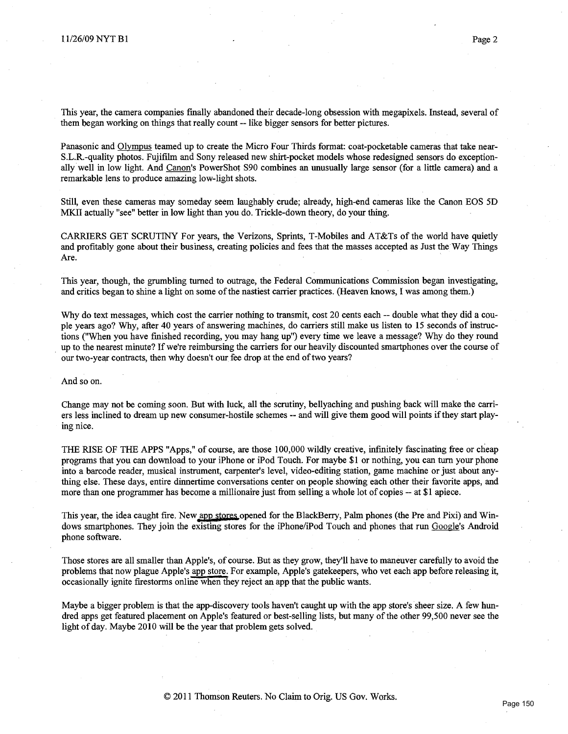This year, the camera companies finally abandoned their decade-long obsession with megapixels. Instead, several of them began working on things that really count -- like bigger sensors for better pictures.

Panasonic and Olympus teamed up to create the Micro Four Thirds format: coat-pocketable cameras that take near-S.L.R.-quality photos. Fujifilm and Sony released new shirt-pocket models whose redesigned sensors do exceptionally well in low light. And Canon's PowerShot S90 combines an unusually large sensor (for a little camera) and a remarkable lens to produce amazing low-light shots.

Still, even these cameras may someday seem laughably crude; already, high-end cameras like the Canon EOS 5D MKII actually "see" better in low light than you do. Trickle-down theory, do your thing.

CARRIERS GET SCRUTINY For years, the Verizons, Sprints, T-Mobiles and AT&Ts of the world have quietly and profitably gone about their business, creating policies and fees that the masses accepted as Just the Way Things Are.

This year, though, the grumbling turned to outrage, the Federal Communications Commission began investigating, and critics began to shine a light on some of the nastiest carrier practices. (Heaven knows, I was among them.)

Why do text messages, which cost the carrier nothing to transmit, cost 20 cents each -- double what they did a couple years ago? Why, after 40 years of answering machines, do carriers still make us listen to 15 seconds of instructions ("When you have fmished recording, you may hang up") every time we leave a message? Why do they round up to the nearest minute? If we're reimbursing the carriers for our heavily discounted smartphones over the course of our two-year contracts, then why doesn't our fee drop at the end of two years?

And so on.

Change may not be coming soon. But with luck, all the scrutiny, bellyaching and pushing back will make the carriers less inclined to dream up new consumer-hostile schemes -- and will give them good will points if they start playing nice.

THE RISE OF THE APPS "Apps," of course, are those 100,000 wildly creative, infmitely fascinating free or cheap programs that you can download to your iPhone or iPod Touch. For maybe \$1 or nothing, you can turn your phone into a barcode reader, musical instrument, carpenter's level, video-editing station, game machine or just about anything else. These days, entire dinnertime conversations center on people showing each other their favorite apps, and more than one programmer has become a millionaire just from selling a whole lot of copies -- at \$1 apiece.

This year, the idea caught fire. New app stores opened for the BlackBerry, Palm phones (the Pre and Pixi) and Windows smartphones. They join the existing stores for the iPhone/iPod Touch and phones that run Google's Android phone software.

Those stores are all smaller than Apple's, of course. But as they grow, they'll have to maneuver carefully to avoid the problems that now plague Apple's app store. For example, Apple's gatekeepers, who vet each app before releasing it, occasionally ignite firestorms online when they reject an app that the public wants.

Maybe a bigger problem is that the app-discovery tools haven't caught up with the app store's sheer size. A few hundred apps get featured placement on Apple's featured or best-selling lists, but many of the other 99,500 never see the light of day. Maybe 2010 will be the year that problem gets solved.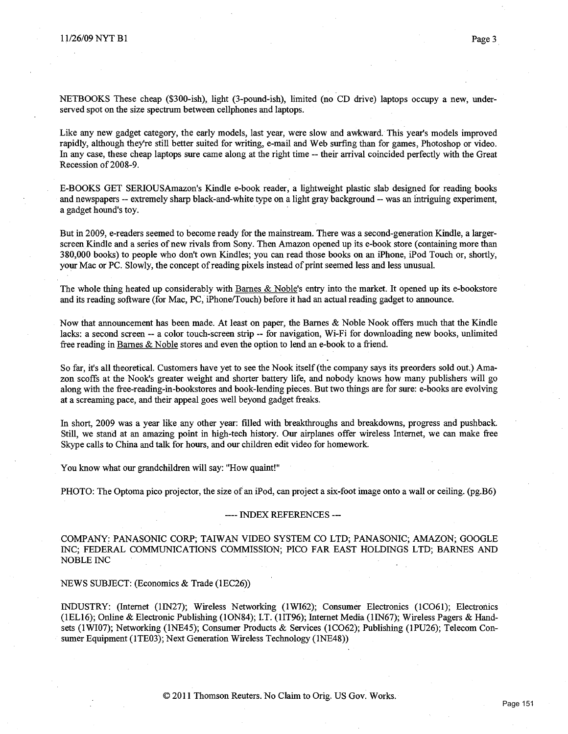NETBOOKS These cheap (\$300-ish), light (3-pound-ish), limited (no CD drive) laptops occupy a new, underserved spot on the size spectrum between cellphones and laptops.

Like any new gadget category, the early models, last year, were slow and awkward. This year's models improved rapidly, although they're still better suited for writing, e-mail and Web surfmg than for games, Photoshop or video. In any case, these cheap laptops sure came along at the right time -- their arrival coincided perfectly with the Great Recession of 2008-9.

E-BOOKS GET SERIOUSAmazon's Kindle e-book reader, a lightweight plastic slab designed for reading books and newspapers -- extremely sharp black-and-white type on a light gray background -- was an intriguing experiment, a gadget hound's toy.

But in 2009, e-readers seemed to become ready for the mainstream. There was a second-generation Kindle, a largerscreen Kindle and a series of new rivals from Sony. Then Amazon opened up its e-book store (containing more than 380,000 books) to people who don't own Kindles; you can read those books on an iPhone, iPod Touch or, shortly, your Mac or PC. Slowly, the concept of reading pixels instead of print seemed less and less unusual.

The whole thing heated up considerably with Barnes & Noble's entry into the market. It opened up its e-bookstore and its reading software (for Mac, PC, iPhone/Touch) before it had an actual reading gadget to announce.

Now that announcement has been made. At least on paper, the Barnes & Noble Nook offers much that the Kindle lacks: a second screen -- a color touch-screen strip -- for navigation, Wi-Fi for downloading new books, unlimited free reading in Barnes & Noble stores and even the option to lend an e-book to a friend.

So far, it's all theoretical. Customers have yet to see the Nook itself (the company says its preorders sold out.) Amazon scoffs at the Nook's greater weight and shorter battery life, and nobody knows how many publishers will go along with the free-reading-in-bookstores and book-lending pieces. But two things are for sure: e-books are evolving at a screaming pace, and their appeal goes well beyond gadget freaks.

In short, 2009 was a year like any other year: filled with breakthroughs and breakdowns, progress and pushback. Still, we stand at an amazing point in high-tech history. Our airplanes offer wireless Internet, we can make free Skype calls to China and talk for hours, and our children edit video for homework.

You know what our grandchildren will say: "How quaint!"

PHOTO: The Optoma pico projector, the size of an iPod, can project a six-foot image onto a wall or ceiling. (pg.B6)

#### ---- INDEX REFERENCES ---

COMPANY: PANASONIC CORP; TAIWAN VIDEO SYSTEM CO LTD; PANASONIC; AMAZON; GOOGLE INC; FEDERAL COMMUNICATIONS COMMISSION; PICO FAR EAST HOLDINGS LTD; BARNES AND NOBLE INC

#### NEWS SUBJECT: (Economics & Trade (1EC26))

INDUSTRY: (Internet (1IN27); Wireless Networking (1WI62); Consumer Electronics (1CO61); Electronics (1EL16); Online & Electronic Publishing (10N84); I.T. (lIT96); Internet Media (1IN67); Wireless Pagers & Handsets (1WI07); Networking (1NE45); Consumer Products & Services (1C062); Publishing (1PU26); Telecom Consumer Equipment (1TE03); Next Generation Wireless Technology (1NE48))

C 2011 Thomson Reuters. No Claim to Orig. US Gov. Works.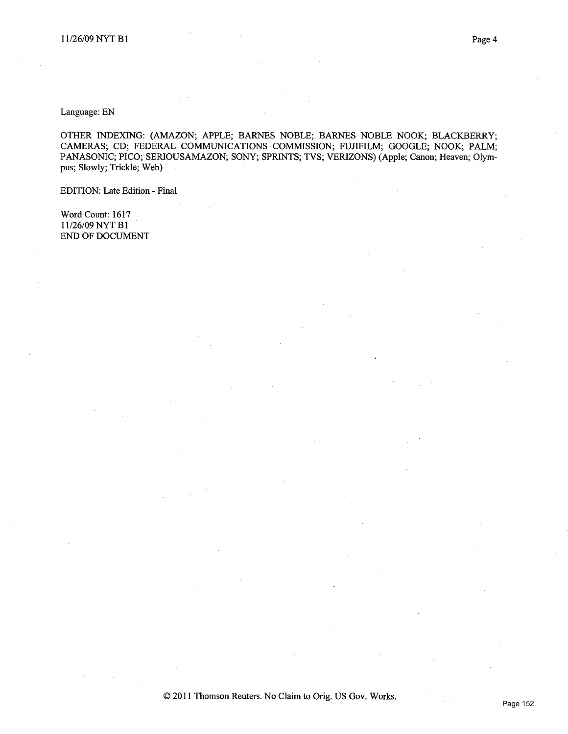#### Language: EN

OTHER INDEXING: (AMAZON; APPLE; BARNES NOBLE; BARNES NOBLE NOOK; BLACKBERRY; CAMERAS; CD; FEDERAL COMMUNICATIONS COMMISSION; FUJIFILM; GOOGLE; NOOK; PALM; PANASONIC; PICO; SERIOUSAMAZON; SONY; SPRINTS; TVS; VERIZONS) (Apple; Canon; Heaven; Olympus; Slowly; Trickle; Web)

EDITION: Late Edition - Final

Word Count: 1617 11/26/09 NYT B1 END OF DOCUMENT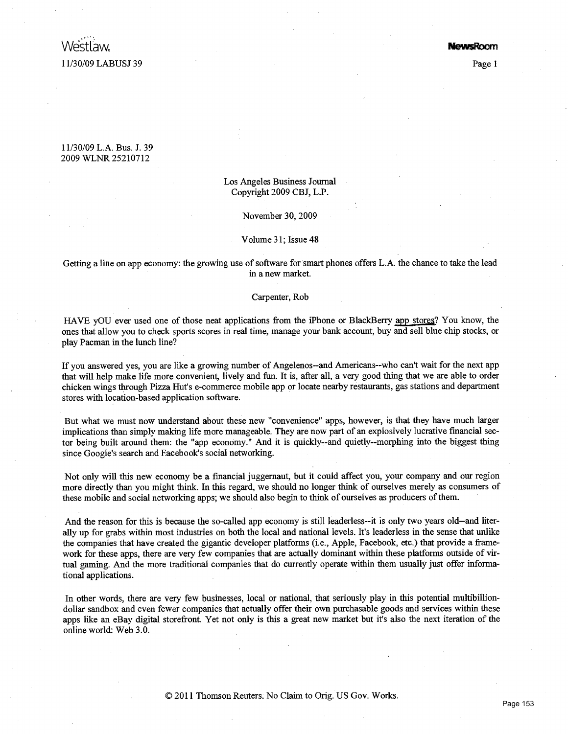## Westlaw. 11/30/09 LABUSJ 39 Page 1

#### 11/30/09 L.A. Bus. J. 39 2009 WLNR 25210712

#### Los Angeles Business Journal Copyright 2009 CBJ, L.P.

November 30, 2009

#### Volume 31; Issue 48

Getting a line on app economy: the growing use of software for smart phones offers L.A. the chance to take the lead in a new market.

#### Carpenter, Rob

HAVE yOU ever used one of those neat applications from the iPhone or BlackBerry app stores? You know, the ones that allow you to check sports scores in real time, manage your bank account, buy and sell blue chip stocks, or play Pacman in the lunch line?

If you answered yes, you are like a growing number of Angelenos--and Americans--who can't wait for the next app that will help make life more convenient, lively and fun. It is, after all, a very good thing that we are able to order chicken wings through Pizza Hut's e-commerce mobile app or locate nearby restaurants, gas stations and department stores with location-based application software.

But what we must now understand about these new "convenience" apps, however, is that they have much larger implications than simply making life more manageable. They are now part of an explosively lucrative financial sector being built around them: the "app economy." And it is quickly--and quietly--morphing into the biggest thing since Google's search and Facebook's social networking.

Not only will this new economy be a fmancial juggernaut, but it could affect you, your company and our region more directly than you might think. In this regard, we should no longer think of ourselves merely as consumers of these mobile and social networking apps; we should also begin to think of ourselves as producers of them.

And the reason for this is because the so-called app economy is still leaderless--it is only two years old--and literally up for grabs within most industries on both the local and national levels. It's leaderless in the sense that unlike the companies that have created the gigantic developer platforms (i.e., Apple, Facebook, etc.) that provide a framework for these apps, there are very few companies that are actually dominant within these platforms outside of virtual gaming. And the more traditional companies that do currently operate within them usually just offer informational applications.

In other words, there are very few businesses, local or national, that seriously play in this potential multibilliondollar sandbox and even fewer companies that actually offer their own purchasable goods and services within these apps like an eBay digital storefront. Yet not only is this a great new market but it's also the next iteration of the online world: Web 3.0.

© 2011 Thomson Reuters. No Claim to Orig. US Gov. Works.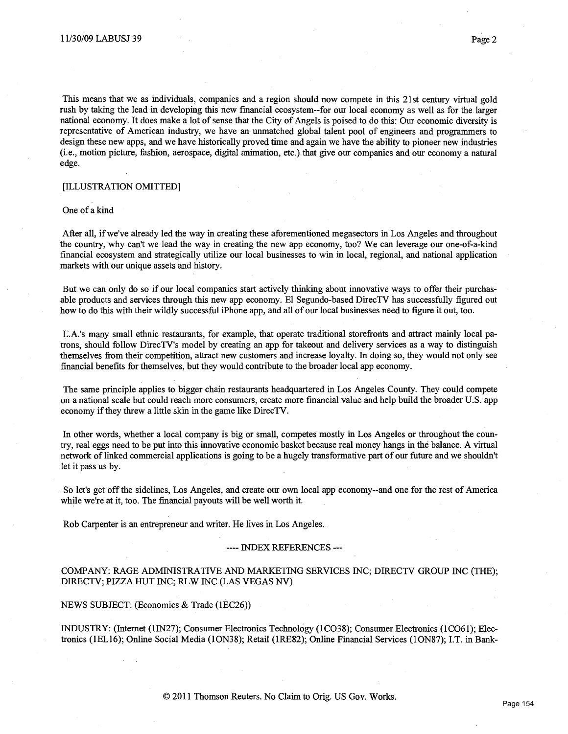This means that we as individuals, companies and a region should now compete in this 21st century virtual gold rush by taking the lead in developing this new fmancial ecosystem--for our local economy as well as for the larger national economy. It does make a lot of sense that the City of Angels is poised to do this: Our economic diversity is representative of American industry, we have an unmatched global talent pool of engineers and programmers to design these new apps, and we have historically proved time and again we have the ability to pioneer new industries (i.e., motion picture, fashion, aerospace, digital animation, etc.) that give our companies and our economy a natural edge.

#### [ILLUSTRATION OMITTED]

#### One of a kind

After all, if we've already led the way in creating these aforementioned megasectors in Los Angeles and throughout the country, why can't we lead the way in creating the new app economy, too? We can leverage our one-of-a-kind financial ecosystem and strategically utilize our local businesses to win in local, regional, and national application markets with our unique assets and history.

But we can only do so if our local companies start actively thinking about innovative ways to offer their purchasable products and services through this new app economy. El Segundo-based DirecTV has successfully figured out how to do this with their wildly successful iPhone app, and all of our local businesses need to figure it out, too.

L.A.'s many small ethnic restaurants, for example, that operate traditional storefronts and attract mainly local patrons, should follow DirecTV's model by creating an app for takeout and delivery services as a way to distinguish themselves from their competition, attract new customers and increase loyalty. In doing so, they would not only see financial benefits for themselves, but they would contribute to the broader local app economy.

The same principle applies to bigger chain restaurants headquartered in Los Angeles County. They could compete on a national scale but could reach more consumers, create more financial value and help build the broader U.S. app economy if they threw a little skin in the game like DirecTV.

In other words, whether a local company is big or small, competes mostly in Los Angeles or throughout the country, real eggs need to be put into this innovative economic basket because real money hangs in the balance. A virtual network of linked commercial applications is going to be a hugely transformative part of our future and we shouldn't let it pass us by.

• So let's get off the sidelines, Los Angeles, and create our own local app economy--and one for the rest of America while we're at it, too. The fmancial payouts will be well worth it.

Rob Carpenter is an entrepreneur and writer. He lives in Los Angeles.

#### ---- INDEX REFERENCES ---

#### COMPANY: RAGE ADMINISTRATIVE AND MARKETING SERVICES INC; DIRECTV GROUP INC (THE); DIRECTV; PIZZA HUT INC; RLW INC (LAS VEGAS NV)

NEWS SUBJECT: (Economics & Trade (1EC26))

INDUSTRY: (Internet (1IN27); Consumer Electronics Technology (1CO38); Consumer Electronics (1CO61); Electronics (1EL16); Online Social Media (10N38); Retail (1RE82); Online Financial Services (10N87); I.T. in Bank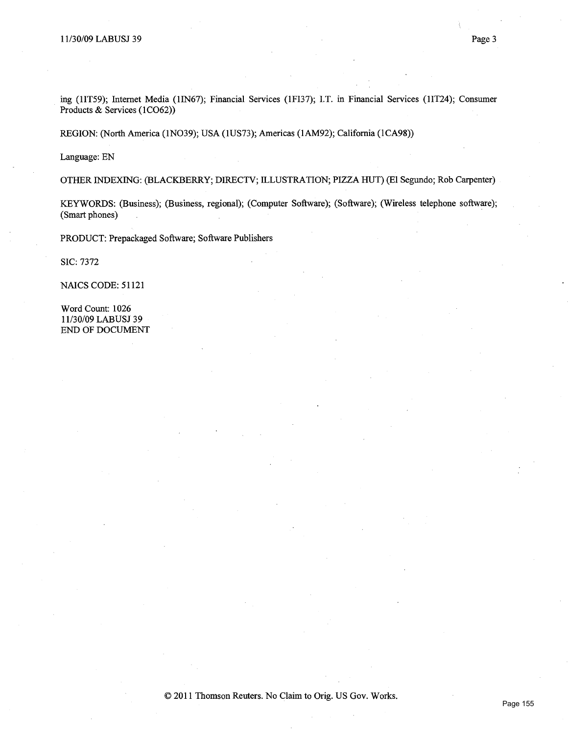ing (11T59); Internet Media (1IN67); Financial Services (1F137); I.T. in Financial Services (11T24); Consumer Products & Services (1C062))

REGION: (North America (1N039); USA (1US73); Americas (1AM92); California (1CA98))

Language: EN

OTHER INDEXING: (BLACKBERRY; DIRECTV; ILLUSTRATION; PIZZA HUT) (El Segundo; Rob Carpenter)

KEYWORDS: (Business); (Business, regional); (Computer Software); (Software); (Wireless telephone software); (Smart phones)

PRODUCT: Prepackaged Software; Software Publishers

SIC: 7372

NAICS CODE: 51121

Word Count: 1026 11/30/09 LABUSJ 39 END OF DOCUMENT

© 2011 Thomson Reuters. No Claim to Orig. US Gov. Works.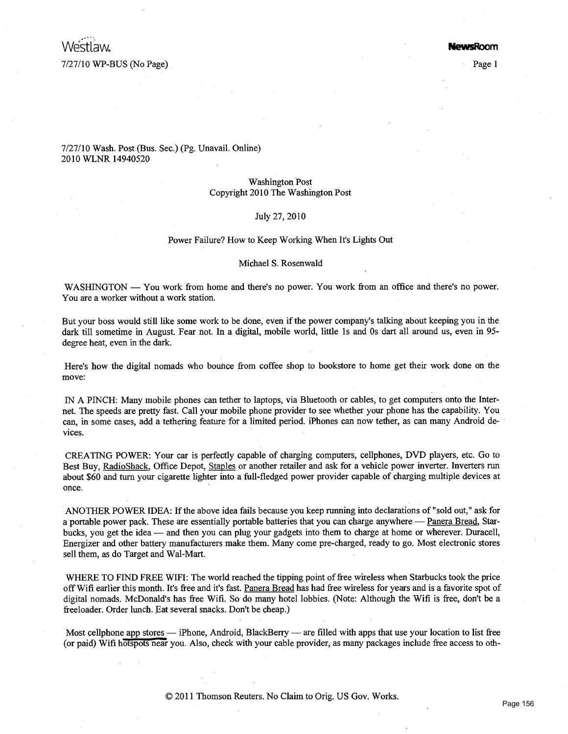# Westlaw. 7/27/10 WP-BUS (No Page) Page 1

**lewsRoom** 

### 7/27/10 Wash. Post (Bus. Sec.) (Pg. Unavail Online) 2010 WLNR 14940520

#### Washington Post Copyright 2010 The Washington Post

#### July 27, 2010

#### Power Failure? How to Keep Working When It's Lights Out

#### Michael S. Rosenwald

WASHINGTON — You work from home and there's no power. You work from an office and there's no power. You are a worker without a work station.

But your boss would still like some work to be done, even if the power company's talking about keeping you in the dark till sometime in August. Fear not. In a digital, mobile world, little 1s and 0s dart all around us, even in 95degree heat, even in the dark.

Here's how the digital nomads who bounce from coffee shop to bookstore to home get their work done on the move:

IN A PINCH: Many mobile phones can tether to laptops, via Bluetooth or cables, to get computers onto the Internet. The speeds are pretty fast. Call your mobile phone provider to see whether your phone has the capability. You can, in some cases, add a tethering feature for a limited period. iPhones can now tether, as can many Android devices.

CREATING POWER: Your car is perfectly capable of charging computers, cellphones, DVD players, etc. Go to Best Buy, RadioShack, Office Depot, Staples or another retailer and ask for a vehicle power inverter. Inverters run about \$60 and turn your cigarette lighter into a full-fledged power provider capable of charging multiple devices at once.

ANOTHER POWER IDEA: If the above idea fails because you keep running into declarations of "sold out," ask for a portable power pack. These are essentially portable batteries that you can charge anywhere — Panera Bread, Starbucks, you get the idea — and then you can plug your gadgets into them to charge at home or wherever. Duracell, Energizer and other battery manufacturers make them. Many come pre-charged, ready to go. Most electronic stores sell them, as do Target and Wal-Mart.

WHERE TO FIND FREE WIFI: The world reached the tipping point of free wireless when Starbucks took the price off Wifi earlier this month. It's free and it's fast. Panera Bread has had free wireless for years and is a favorite spot of digital nomads. McDonald's has free Wifi. So do many hotel lobbies. (Note: Although the Wifi is free, don't be a freeloader. Order lunch. Eat several snacks. Don't be cheap.)

Most cellphone app stores — iPhone, Android, BlackBerry — are filled with apps that use your location to list free (or paid) Wifi hotspots near you. Also, check with your cable provider, as many packages include free access to oth-

C 2011 Thomson Reuters. No Claim to Orig. US Gov. Works.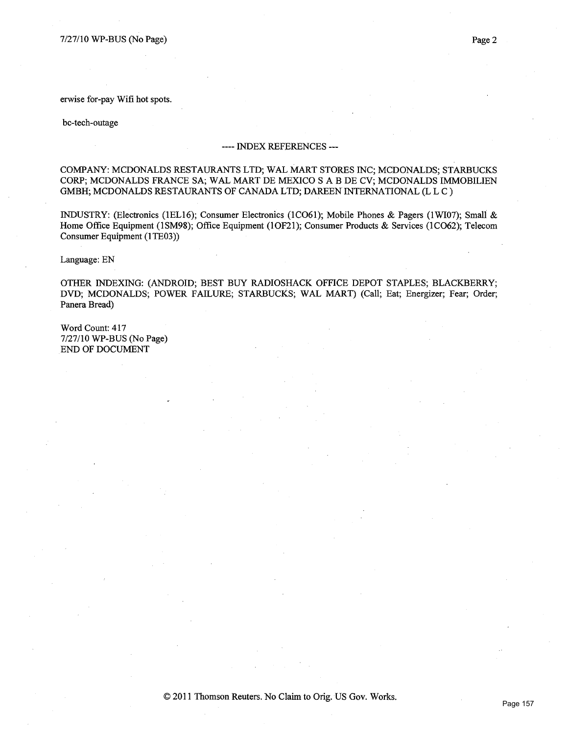erwise for-pay Wifi hot spots.

bc-tech-outage

#### ---- INDEX REFERENCES ---

COMPANY: MCDONALDS RESTAURANTS LTD; WAL MART STORES INC; MCDONALDS; STARBUCKS CORP; MCDONALDS FRANCE SA; WAL MART DE MEXICO S A B DE CV; MCDONALDS IMMOBILIEN GMBH; MCDONALDS RESTAURANTS OF CANADA LTD; DAREEN INTERNATIONAL (L L C )

INDUSTRY: (Electronics (1EL16); Consumer Electronics (1C061); Mobile Phones & Pagers (1W107); Small & Home Office Equipment (1SM98); Office Equipment (10F21); Consumer Products & Services (1C062); Telecom Consumer Equipment (1TE03))

Language: EN

OTHER INDEXING: (ANDROID; BEST BUY RADIOSHACK OFFICE DEPOT STAPLES; BLACKBERRY; DVD; MCDONALDS; POWER FAILURE; STARBUCKS; WAL MART) (Call; Eat; Energizer; Fear; Order; Panera Bread)

Word Count: 417 7/27/10 WP-BUS (No Page) END OF DOCUMENT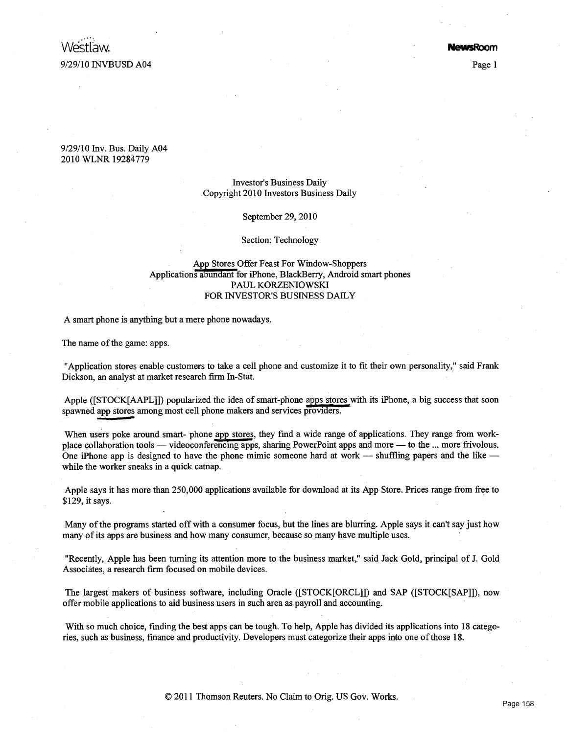# Westlaw. **NewsRoom** 9/29/10 INVBUSD A04 Page 1

#### 9/29/10 Inv. Bus. Daily A04 2010 WLNR 19284779

### Investor's Business Daily Copyright 2010 Investors Business Daily

#### September 29, 2010

#### Section: Technology

### App Stores Offer Feast For Window-Shoppers Applications abundant for iPhone, BlackBerry, Android smart phones PAUL KORZENIOWSKI FOR INVESTOR'S BUSINESS DAILY

A smart phone is anything but a mere phone nowadays.

The name of the game: apps.

"Application stores enable customers to take a cell phone and customize it to fit their own personality," said Frank Dickson, an analyst at market research firm In-Stat.

Apple ([STOCK[AAPL]]) popularized the idea of smart-phone apps stores with its iPhone, a big success that soon spawned app stores among most cell phone makers and services providers.

When users poke around smart- phone app stores, they find a wide range of applications. They range from workplace collaboration tools — videoconferencing apps, sharing PowerPoint apps and more — to the ... more frivolous. One iPhone app is designed to have the phone mimic someone hard at work — shuffling papers and the like while the worker sneaks in a quick catnap.

Apple says it has more than 250,000 applications available for download at its App Store. Prices range from free to \$129, it says.

Many of the programs started off with a consumer focus, but the lines are blurring. Apple says it can't say just how many of its apps are business and how many consumer, because so many have multiple uses.

"Recently, Apple has been turning its attention more to the business market," said Jack Gold, principal of J. Gold Associates, a research firm focused on mobile devices.

The largest makers of business software, including Oracle ([STOCK[ORCL]]) and SAP ([STOCK[SAP]]), now offer mobile applications to aid business users in such area as payroll and accounting.

With so much choice, finding the best apps can be tough. To help, Apple has divided its applications into 18 categories, such as business, finance and productivity. Developers must categorize their apps into one of those 18.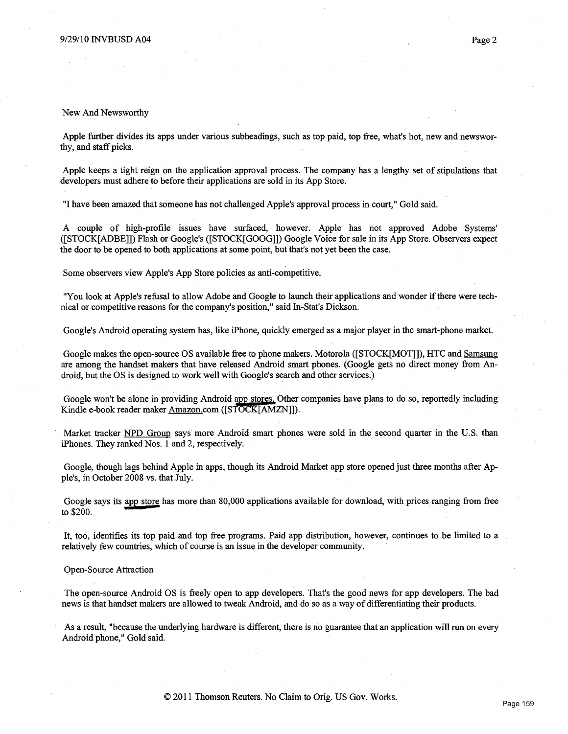#### New And Newsworthy

Apple further divides its apps under various subheadings, such as top paid, top free, what's hot, new and newsworthy, and staff picks.

Apple keeps a tight reign on the application approval process. The company has a lengthy set of stipulations that developers must adhere to before their applications are sold in its App Store.

"I have been amazed that someone has not challenged Apple's approval process in court," Gold said.

A couple of high-profile issues have surfaced, however. Apple has not approved Adobe Systems' ([STOCK[ADBE]]) Flash or Google's ([STOCK[GOOG]]) Google Voice for sale in its App Store. Observers expect the door to be opened to both applications at some point, but that's not yet been the case.

Some observers view Apple's App Store policies as anti-competitive.

"You look at Apple's refusal to allow Adobe and Google to launch their applications and wonder if there were technical or competitive reasons for the company's position," said In-Stat's Dickson.

Google's Android operating system has, like iPhone, quickly emerged as a major player in the smart-phone market.

Google makes the open-source OS available free to phone makers. Motorola ([STOCK[MOT]]), HTC and Samsung are among the handset makers that have released Android smart phones. (Google gets no direct money from Android, but the OS is designed to work well with Google's search and other services.)

Google won't be alone in providing Android app stores. Other companies have plans to do so, reportedly including Kindle e-book reader maker Amazon.com ([STOCK[AMZN]]).

Market tracker NPD Group says more Android smart phones were sold in the second quarter in the U.S. than iPhones. They ranked Nos. 1 and 2, respectively.

Google, though lags behind Apple in apps, though its Android Market app store opened just three months after Apple's, in October 2008 vs. that July.

Google says its app store has more than 80,000 applications available for download, with prices ranging from free to \$200.

It, too, identifies its top paid and top free programs. Paid app distribution, however, continues to be limited to a relatively few countries, which of course is an issue in the developer community.

#### Open-Source Attraction

The open-source Android OS is freely open to app developers. That's the good news for app developers. The bad news is that handset makers are allowed to tweak Android, and do so as a way of differentiating their products.

As a result, "because the underlying hardware is different, there is no guarantee that an application will run on every Android phone," Gold said.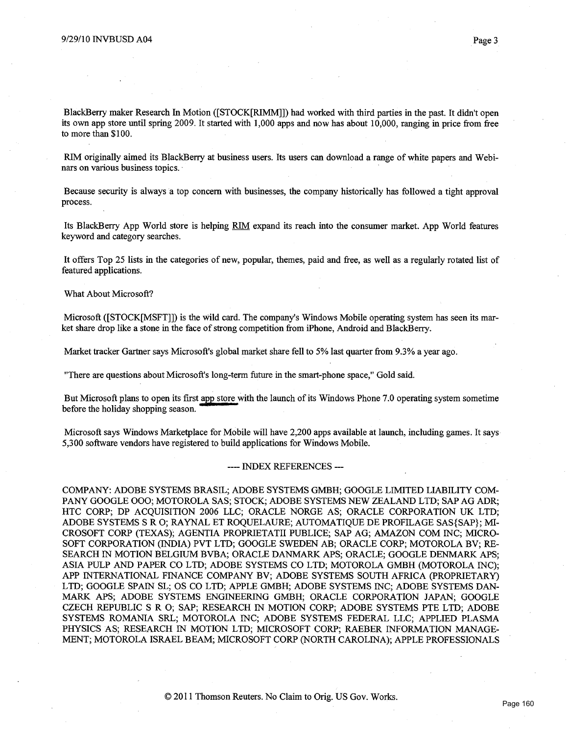BlackBeny maker Research In Motion ([STOCK[RIMM]]) had worked with third parties in the past. It didn't open its own app store until spring 2009. It started with 1,000 apps and now has about 10,000, ranging in price from free to more than \$100.

RIM originally aimed its BlackBerry at business users. Its users can download a range of white papers and Webinars on various business topics.

Because security is always a top concern with businesses, the company historically has followed a tight approval process.

Its BlackBerry App World store is helping RIM expand its reach into the consumer market. App World features keyword and category searches.

It offers Top 25 lists in the categories of new, popular, themes, paid and free, as well as a regularly rotated list of featured applications.

What About Microsoft?

Microsoft ([STOCK[MSFT]]) is the wild card. The company's Windows Mobile operating system has seen its market share drop like a stone in the face of strong competition from iPhone, Android and BlackBerry.

Market tracker Gartner says Microsoft's global market share fell to 5% last quarter from 9.3% a year ago.

"There are questions about Microsoft's long-term future in the smart-phone space," Gold said.

But Microsoft plans to open its first app store with the launch of its Windows Phone 7.0 operating system sometime before the holiday shopping season.

Microsoft says Windows Marketplace for Mobile will have 2,200 apps available at launch, including games. It says 5,300 software vendors have registered to build applications for Windows Mobile.

#### ---- INDEX REFERENCES ---

COMPANY: ADOBE SYSTEMS BRASIL; ADOBE SYSTEMS GMBH; GOOGLE LIMITED LIABILITY COM-PANY GOOGLE 000; MOTOROLA SAS; STOCK; ADOBE SYSTEMS NEW ZEALAND LTD; SAP AG ADR; HTC CORP; DP ACQUISITION 2006 LLC; ORACLE NORGE AS; ORACLE CORPORATION UK LTD; ADOBE SYSTEMS S R 0; RAYNAL ET ROQUELAURE; AUTOMATIQUE DE PROFILAGE SAS {SAP}; MI-CROSOFT CORP (TEXAS); AGENTIA PROPRIETATII PUBLICE; SAP AG; AMAZON COM INC; MICRO-SOFT CORPORATION (INDIA) PVT LTD; GOOGLE SWEDEN AB; ORACLE CORP; MOTOROLA BV; RE-SEARCH IN MOTION BELGIUM BVBA; ORACLE DANMARK APS; ORACLE; GOOGLE DENMARK APS; ASIA PULP AND PAPER CO LTD; ADOBE SYSTEMS CO LTD; MOTOROLA GMBH (MOTOROLA INC); APP INTERNATIONAL FINANCE COMPANY BV; ADOBE SYSTEMS SOUTH AFRICA (PROPRIETARY) LTD; GOOGLE SPAIN SL; OS CO LTD; APPLE GMBH; ADOBE SYSTEMS INC; ADOBE SYSTEMS DAN-MARK APS; ADOBE SYSTEMS ENGINEERING GMBH; ORACLE CORPORATION JAPAN; GOOGLE CZECH REPUBLIC S R 0; SAP; RESEARCH IN MOTION CORP; ADOBE SYSTEMS PTE LTD; ADOBE SYSTEMS ROMAMA SRL; MOTOROLA INC; ADOBE SYSTEMS FEDERAL LLC; APPLIED PLASMA PHYSICS AS; RESEARCH IN MOTION LTD; MICROSOFT CORP; RAEBER INFORMATION MANAGE-MENT; MOTOROLA ISRAEL BEAM; MICROSOFT CORP (NORTH CAROLINA); APPLE PROFESSIONALS